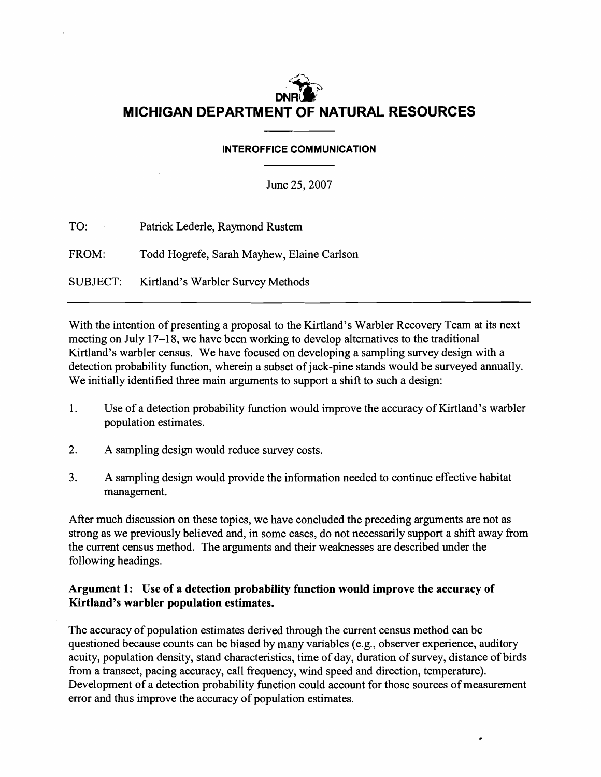# DNR $\sum^{\infty}$ **MICHIGAN DEPARTMENT OF NATURAL RESOURCES**

#### INTEROFFICE COMMUNICATION

June 25,2007

| TO:<br>$\mathcal{O}(10^{11} \, \mathrm{Mpc})$ . | Patrick Lederle, Raymond Rustem            |
|-------------------------------------------------|--------------------------------------------|
| FROM:                                           | Todd Hogrefe, Sarah Mayhew, Elaine Carlson |
|                                                 | SUBJECT: Kirtland's Warbler Survey Methods |

With the intention of presenting a proposal to the Kirtland's Warbler Recovery Team at its next meeting on July 17-18, we have been working to develop alternatives to the traditional Kirtland's warbler census. We have focused on developing a sampling survey design with a detection probability function, wherein a subset of jack-pine stands would be surveyed annually. We initially identified three main arguments to support a shift to such a design:

- 1. Use of a detection probability function would improve the accuracy of Kirtland's warbler population estimates.
- 2. A sampling design would reduce survey costs.
- 3. A sampling design would provide the information needed to continue effective habitat management.

After much discussion on these topics, we have concluded the preceding arguments are not as strong as we previously believed and, in some cases, do not necessarily support a shift away from the current census method. The arguments and their weaknesses are described under the following headings.

## Argument 1: Use of a detection probability function would improve the accuracy of Kirtland's warbler population estimates.

The accuracy of population estimates derived through the current census method can be questioned because counts can be biased by many variables (e.g., observer experience, auditory acuity, population density, stand characteristics, time of day, duration of survey, distance of birds from a transect, pacing accuracy, call frequency, wind speed and direction, temperature). Development of a detection probability function could account for those sources of measurement error and thus improve the accuracy of population estimates.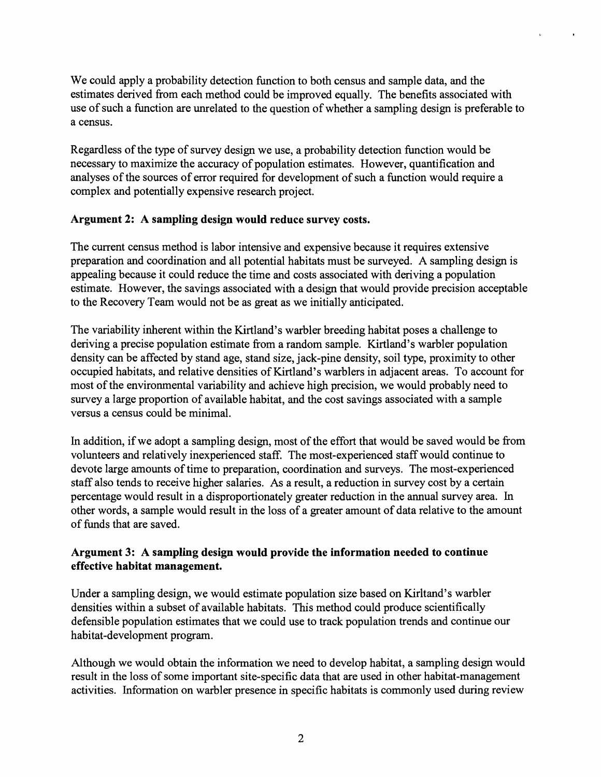We could apply a probability detection function to both census and sample data, and the estimates derived from each method could be improved equally. The benefits associated with use of such a function are unrelated to the question of whether a sampling design is preferable to a census.

Regardless of the type of survey design we use, a probability detection function would be necessary to maximize the accuracy of population estimates. However, quantification and analyses of the sources of error required for development of such a function would require a complex and potentially expensive research project.

#### Argument 2: A sampling design would reduce survey costs.

The current census method is labor intensive and expensive because it requires extensive preparation and coordination and all potential habitats must be surveyed. A sampling design is appealing because it could reduce the time and costs associated with deriving a population estimate. However, the savings associated with a design that would provide precision acceptable to the Recovery Team would not be as great as we initially anticipated.

The variability inherent within the Kirtland's warbler breeding habitat poses a challenge to deriving a precise population estimate from a random sample. Kirtland's warbler population density can be affected by stand age, stand size, jack-pine density, soil type, proximity to other occupied habitats, and relative densities of Kirtland's warblers in adjacent areas. To account for most of the environmental variability and achieve high precision, we would probably need to survey a large proportion of available habitat, and the cost savings associated with a sample versus a census could be minimal.

In addition, if we adopt a sampling design, most of the effort that would be saved would be from volunteers and relatively inexperienced staff. The most-experienced staff would continue to devote large amounts of time to preparation, coordination and surveys. The most-experienced staff also tends to receive higher salaries. As a result, a reduction in survey cost by a certain percentage would result in a disproportionately greater reduction in the annual survey area. In other words, a sample would result in the loss of a greater amount of data relative to the amount of funds that are saved.

### Argument 3: A sampling design would provide the information needed to continue effective habitat management.

Under a sampling design, we would estimate population size based on Kirltand's warbler densities within a subset of available habitats. This method could produce scientifically defensible population estimates that we could use to track population trends and continue our habitat-development program.

Although we would obtain the information we need to develop habitat, a sampling design would result in the loss of some important site-specific data that are used in other habitat-management activities. Information on warbler presence in specific habitats is commonly used during review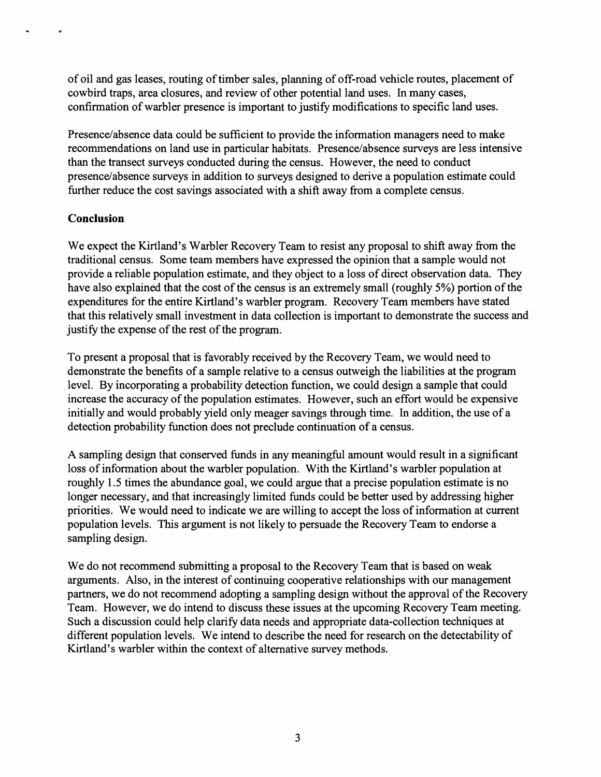of oil and gas leases, routing of timber sales, planning of off-road vehicle routes, placement of cowbird traps, area closures, and review of other potential land uses. In many cases, confirmation of warbler presence is important to justify modifications to specific land uses.

Presence/absence data could be sufficient to provide the information managers need to make recommendations on land use in particular habitats. Presence/absence surveys are less intensive than the transect surveys conducted during the census. However, the need to conduct presence/absence surveys in addition to surveys designed to derive a population estimate could further reduce the cost savings associated with a shift away from a complete census.

## **Conclusion**

We expect the Kirtland's Warbler Recovery Team to resist any proposal to shift away from the traditional census. Some team members have expressed the opinion that a sample would not provide a reliable population estimate, and they object to a loss of direct observation data. They have also explained that the cost of the census is an extremely small (roughly 5%) portion of the expenditures for the entire Kirtland's warbler program. Recovery Team members have stated that this relatively small investment in data collection is important to demonstrate the success and justify the expense of the rest of the program.

To present a proposal that is favorably received by the Recovery Team, we would need to demonstrate the benefits of a sample relative to a census outweigh the liabilities at the program level. By incorporating a probability detection function, we could design a sample that could increase the accuracy of the population estimates. However, such an effort would be expensive initially and would probably yield only meager savings through time. In addition, the use of a detection probability function does not preclude continuation of a census.

A sampling design that conserved funds in any meaningful amount would result in a significant loss of information about the warbler population. With the Kirtland's warbler population at roughly 1.5 times the abundance goal, we could argue that a precise population estimate is no longer necessary, and that increasingly limited funds could be better used by addressing higher priorities. We would need to indicate we are willing to accept the loss of information at current population levels. This argument is not likely to persuade the Recovery Team to endorse a sampling design.

We do not recommend submitting a proposal to the Recovery Team that is based on weak arguments. Also, in the interest of continuing cooperative relationships with our management partners, we do not recommend adopting a sampling design without the approval of the Recovery Team. However, we do intend to discuss these issues at the upcoming Recovery Team meeting. Such a discussion could help clarify data needs and appropriate data-collection techniques at different population levels. We intend to describe the need for research on the detectability of Kirtland's warbler within the context of alternative survey methods.